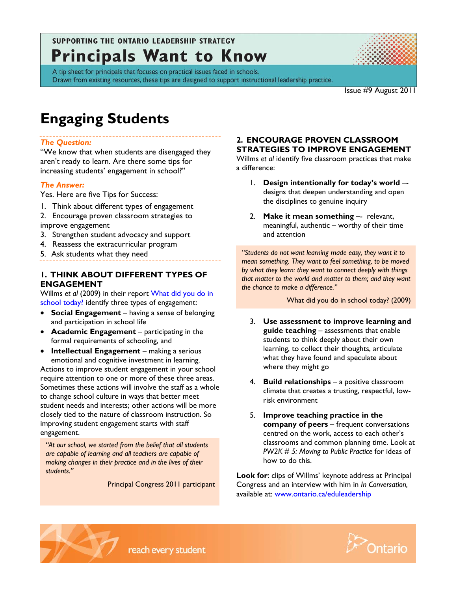# SUPPORTING THE ONTARIO LEADERSHIP STRATEGY **Principals Want to Know**



A tip sheet for principals that focuses on practical issues faced in schools. Drawn from existing resources, these tips are designed to support instructional leadership practice.

Issue #9 August 2011

# **Engaging Students**

#### *The Question:*

"We know that when students are disengaged they aren't ready to learn. Are there some tips for increasing students' engagement in school?"

#### *The Answer:*

Yes. Here are five Tips for Success:

- 1. Think about different types of engagement
- 2. Encourage proven classroom strategies to improve engagement
- 3. Strengthen student advocacy and support
- 4. Reassess the extracurricular program
- 5. Ask students what they need

### **1. THINK ABOUT DIFFERENT TYPES OF ENGAGEMENT**

Willms *et al* (2009) in their report [What did you do in](http://www.cea-ace.ca/sites/default/files/cea-2009-wdydist.pdf)  [school today?](http://www.cea-ace.ca/sites/default/files/cea-2009-wdydist.pdf) identify three types of engagement:

- **Social Engagement** having a sense of belonging and participation in school life
- **Academic Engagement** participating in the formal requirements of schooling, and
- **Intellectual Engagement** making a serious emotional and cognitive investment in learning.

Actions to improve student engagement in your school require attention to one or more of these three areas. Sometimes these actions will involve the staff as a whole to change school culture in ways that better meet student needs and interests; other actions will be more closely tied to the nature of classroom instruction. So improving student engagement starts with staff engagement.

*"At our school, we started from the belief that all students are capable of learning and all teachers are capable of making changes in their practice and in the lives of their students."* 

Principal Congress 2011 participant

#### **2. ENCOURAGE PROVEN CLASSROOM STRATEGIES TO IMPROVE ENGAGEMENT**

Willms *et al* identify five classroom practices that make a difference:

- 1. **Design intentionally for today's world** designs that deepen understanding and open the disciplines to genuine inquiry
- 2. **Make it mean something** -- relevant, meaningful, authentic – worthy of their time and attention

*"Students do not want learning made easy, they want it to mean something. They want to feel something, to be moved by what they learn: they want to connect deeply with things that matter to the world and matter to them; and they want the chance to make a difference."* 

What did you do in school today? (2009)

- 3. **Use assessment to improve learning and guide teaching** – assessments that enable students to think deeply about their own learning, to collect their thoughts, articulate what they have found and speculate about where they might go
- 4. **Build relationships** a positive classroom climate that creates a trusting, respectful, lowrisk environment
- 5. **Improve teaching practice in the company of peers** – frequent conversations centred on the work, access to each other's classrooms and common planning time. Look at *PW2K # 5: Moving to Public Practice* for ideas of how to do this.

**Look for**: clips of Willms' keynote address at Principal Congress and an interview with him in *In Conversation,* available at: [www.ontario.ca/eduleadership](http://www.ontario.ca/eduleadership)